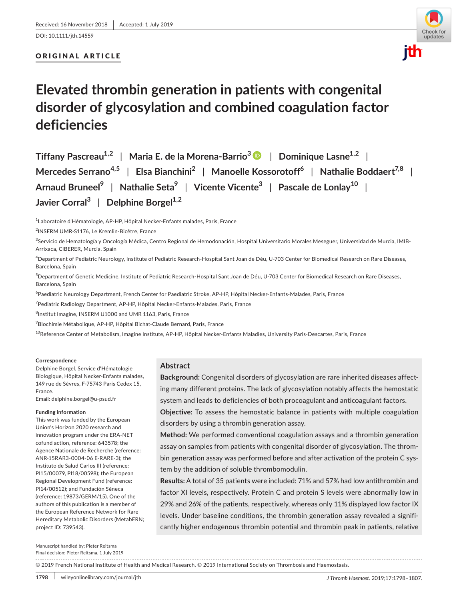DOI: 10.1111/jth.14559

# ORIGINAL ARTICLE



# **Elevated thrombin generation in patients with congenital disorder of glycosylation and combined coagulation factor deficiencies**

**Tiffany Pascreau1,2** | **Maria E. de la Morena‐Barrio[3](https://orcid.org/0000-0001-7426-4947)** | **Dominique Lasne1,2** | **Mercedes Serrano4,5** | **Elsa Bianchini2** | **Manoelle Kossorotoff6** | **Nathalie Boddaert7,8** | **Arnaud Bruneel9** | **Nathalie Seta9** | **Vicente Vicente3** | **Pascale de Lonlay10** | **Javier Corral**<sup>3</sup> | Delphine Borgel<sup>1,2</sup>

<sup>1</sup> Laboratoire d'Hématologie, AP-HP, Hôpital Necker-Enfants malades, Paris, France

2 INSERM UMR‐S1176, Le Kremlin‐Bicêtre, France

<sup>3</sup>Servicio de Hematología y Oncología Médica, Centro Regional de Hemodonación, Hospital Universitario Morales Meseguer, Universidad de Murcia, IMIB-Arrixaca, CIBERER, Murcia, Spain

4 Department of Pediatric Neurology, Institute of Pediatric Research‐Hospital Sant Joan de Déu, U‐703 Center for Biomedical Research on Rare Diseases, Barcelona, Spain

5 Department of Genetic Medicine, Institute of Pediatric Research‐Hospital Sant Joan de Déu, U‐703 Center for Biomedical Research on Rare Diseases, Barcelona, Spain

<sup>6</sup>Paediatric Neurology Department, French Center for Paediatric Stroke, AP-HP, Hôpital Necker-Enfants-Malades, Paris, France

7 Pediatric Radiology Department, AP‐HP, Hôpital Necker‐Enfants‐Malades, Paris, France

<sup>8</sup>Institut Imagine, INSERM U1000 and UMR 1163, Paris, France

9 Biochimie Métabolique, AP‐HP, Hôpital Bichat‐Claude Bernard, Paris, France

<sup>10</sup>Reference Center of Metabolism, Imagine Institute, AP‐HP, Hôpital Necker‐Enfants Maladies, University Paris‐Descartes, Paris, France

### **Correspondence**

Delphine Borgel, Service d'Hématologie Biologique, Hôpital Necker‐Enfants malades, 149 rue de Sèvres, F‐75743 Paris Cedex 15, France.

Email: [delphine.borgel@u-psud.fr](mailto:delphine.borgel@u-psud.fr)

### **Funding information**

This work was funded by the European Union's Horizon 2020 research and innovation program under the ERA‐NET cofund action, reference: 643578; the Agence Nationale de Recherche (reference: ANR‐15RAR3‐0004‐06 E‐RARE‐3); the Instituto de Salud Carlos III (reference: PI15/00079, PI18/00598); the European Regional Development Fund (reference: PI14/00512); and Fundación Séneca (reference: 19873/GERM/15). One of the authors of this publication is a member of the European Reference Network for Rare Hereditary Metabolic Disorders (MetabERN; project ID: 739543).

# **Abstract**

**Background:** Congenital disorders of glycosylation are rare inherited diseases affect‐ ing many different proteins. The lack of glycosylation notably affects the hemostatic system and leads to deficiencies of both procoagulant and anticoagulant factors.

**Objective:** To assess the hemostatic balance in patients with multiple coagulation disorders by using a thrombin generation assay.

**Method:** We performed conventional coagulation assays and a thrombin generation assay on samples from patients with congenital disorder of glycosylation. The throm‐ bin generation assay was performed before and after activation of the protein C system by the addition of soluble thrombomodulin.

**Results:** A total of 35 patients were included: 71% and 57% had low antithrombin and factor XI levels, respectively. Protein C and protein S levels were abnormally low in 29% and 26% of the patients, respectively, whereas only 11% displayed low factor IX levels. Under baseline conditions, the thrombin generation assay revealed a signifi‐ cantly higher endogenous thrombin potential and thrombin peak in patients, relative

Manuscript handled by: Pieter Reitsma

Final decision: Pieter Reitsma, 1 July 2019

© 2019 French National Institute of Health and Medical Research. © 2019 International Society on Thrombosis and Haemostasis.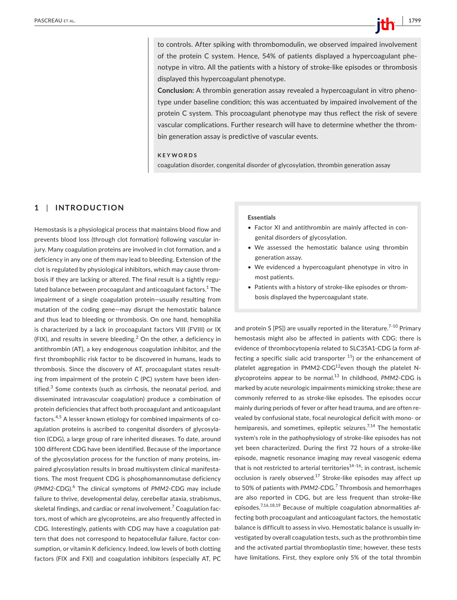to controls. After spiking with thrombomodulin, we observed impaired involvement of the protein C system. Hence, 54% of patients displayed a hypercoagulant phe‐ notype in vitro. All the patients with a history of stroke‐like episodes or thrombosis displayed this hypercoagulant phenotype.

**Conclusion:** A thrombin generation assay revealed a hypercoagulant in vitro pheno‐ type under baseline condition; this was accentuated by impaired involvement of the protein C system. This procoagulant phenotype may thus reflect the risk of severe vascular complications. Further research will have to determine whether the throm‐ bin generation assay is predictive of vascular events.

**KEYWORDS**

coagulation disorder, congenital disorder of glycosylation, thrombin generation assay

# **1** | **INTRODUCTION**

Hemostasis is a physiological process that maintains blood flow and prevents blood loss (through clot formation) following vascular injury. Many coagulation proteins are involved in clot formation, and a deficiency in any one of them may lead to bleeding. Extension of the clot is regulated by physiological inhibitors, which may cause throm‐ bosis if they are lacking or altered. The final result is a tightly regu‐ lated balance between procoagulant and anticoagulant factors. $^{\rm 1}$  The impairment of a single coagulation protein—usually resulting from mutation of the coding gene—may disrupt the hemostatic balance and thus lead to bleeding or thrombosis. On one hand, hemophilia is characterized by a lack in procoagulant factors VIII (FVIII) or IX (FIX), and results in severe bleeding. $^2$  On the other, a deficiency in antithrombin (AT), a key endogenous coagulation inhibitor, and the first thrombophilic risk factor to be discovered in humans, leads to thrombosis. Since the discovery of AT, procoagulant states result‐ ing from impairment of the protein C (PC) system have been iden‐ tified.<sup>3</sup> Some contexts (such as cirrhosis, the neonatal period, and disseminated intravascular coagulation) produce a combination of protein deficiencies that affect both procoagulant and anticoagulant factors.4,5 A lesser known etiology for combined impairments of co‐ agulation proteins is ascribed to congenital disorders of glycosyla‐ tion (CDG), a large group of rare inherited diseases. To date, around 100 different CDG have been identified. Because of the importance of the glycosylation process for the function of many proteins, im‐ paired glycosylation results in broad multisystem clinical manifesta‐ tions. The most frequent CDG is phosphomannomutase deficiency (*PMM2*‐CDG).<sup>6</sup> The clinical symptoms of *PMM2*‐CDG may include failure to thrive, developmental delay, cerebellar ataxia, strabismus, skeletal findings, and cardiac or renal involvement. $^7$  Coagulation factors, most of which are glycoproteins, are also frequently affected in CDG. Interestingly, patients with CDG may have a coagulation pat‐ tern that does not correspond to hepatocellular failure, factor consumption, or vitamin K deficiency. Indeed, low levels of both clotting factors (FIX and FXI) and coagulation inhibitors (especially AT, PC

#### Essentials

- Factor XI and antithrombin are mainly affected in con‐ genital disorders of glycosylation.
- We assessed the hemostatic balance using thrombin generation assay.
- We evidenced a hypercoagulant phenotype in vitro in most patients.
- Patients with a history of stroke‐like episodes or throm‐ bosis displayed the hypercoagulant state.

and protein S [PS]) are usually reported in the literature.<sup> $7-10$ </sup> Primary hemostasis might also be affected in patients with CDG; there is evidence of thrombocytopenia related to SLC35A1‐CDG (a form af‐ fecting a specific sialic acid transporter  $11$ ) or the enhancement of platelet aggregation in PMM2-CDG<sup>12</sup>even though the platelet Nglycoproteins appear to be normal.<sup>13</sup> In childhood, PMM2-CDG is marked by acute neurologic impairments mimicking stroke; these are commonly referred to as stroke‐like episodes. The episodes occur mainly during periods of fever or after head trauma, and are often re‐ vealed by confusional state, focal neurological deficit with mono‐ or hemiparesis, and sometimes, epileptic seizures.<sup>7,14</sup> The hemostatic system's role in the pathophysiology of stroke‐like episodes has not yet been characterized. During the first 72 hours of a stroke‐like episode, magnetic resonance imaging may reveal vasogenic edema that is not restricted to arterial territories $^{14-16}$ ; in contrast, ischemic occlusion is rarely observed.<sup>17</sup> Stroke-like episodes may affect up to 50% of patients with PMM2-CDG.<sup>7</sup> Thrombosis and hemorrhages are also reported in CDG, but are less frequent than stroke‐like episodes.<sup>7,16,18,19</sup> Because of multiple coagulation abnormalities affecting both procoagulant and anticoagulant factors, the hemostatic balance is difficult to assess in vivo. Hemostatic balance is usually in‐ vestigated by overall coagulation tests, such as the prothrombin time and the activated partial thromboplastin time; however, these tests have limitations. First, they explore only 5% of the total thrombin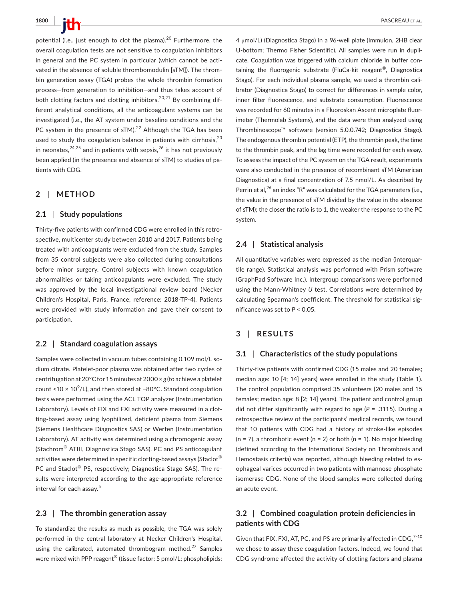**1800 |**  PASCREAU et al.

potential (i.e., just enough to clot the plasma).<sup>20</sup> Furthermore. the overall coagulation tests are not sensitive to coagulation inhibitors in general and the PC system in particular (which cannot be activated in the absence of soluble thrombomodulin [sTM]). The thrombin generation assay (TGA) probes the whole thrombin formation process—from generation to inhibition—and thus takes account of both clotting factors and clotting inhibitors.<sup>20,21</sup> By combining different analytical conditions, all the anticoagulant systems can be investigated (i.e., the AT system under baseline conditions and the PC system in the presence of  $sTM$ ).<sup>22</sup> Although the TGA has been used to study the coagulation balance in patients with cirrhosis. $^{23}$ in neonates,  $24,25$  and in patients with sepsis,  $26$  it has not previously been applied (in the presence and absence of sTM) to studies of pa‐ tients with CDG.

# **2** | **METHOD**

# **2.1** | **Study populations**

Thirty-five patients with confirmed CDG were enrolled in this retrospective, multicenter study between 2010 and 2017. Patients being treated with anticoagulants were excluded from the study. Samples from 35 control subjects were also collected during consultations before minor surgery. Control subjects with known coagulation abnormalities or taking anticoagulants were excluded. The study was approved by the local investigational review board (Necker Children's Hospital, Paris, France; reference: 2018‐TP‐4). Patients were provided with study information and gave their consent to participation.

#### **2.2** | **Standard coagulation assays**

Samples were collected in vacuum tubes containing 0.109 mol/L so‐ dium citrate. Platelet‐poor plasma was obtained after two cycles of centrifugation at 20°C for 15 minutes at 2000 × *g* (to achieve a platelet count <10  $\times$  10<sup>9</sup>/L), and then stored at −80°C. Standard coagulation tests were performed using the ACL TOP analyzer (Instrumentation Laboratory). Levels of FIX and FXI activity were measured in a clotting‐based assay using lyophilized, deficient plasma from Siemens (Siemens Healthcare Diagnostics SAS) or Werfen (Instrumentation Laboratory). AT activity was determined using a chromogenic assay (Stachrom® ATIII, Diagnostica Stago SAS). PC and PS anticoagulant activities were determined in specific clotting-based assays (Staclot<sup>®</sup> PC and Staclot® PS, respectively; Diagnostica Stago SAS). The re‐ sults were interpreted according to the age‐appropriate reference interval for each assay.<sup>5</sup>

# **2.3** | **The thrombin generation assay**

To standardize the results as much as possible, the TGA was solely performed in the central laboratory at Necker Children's Hospital, using the calibrated, automated thrombogram method.<sup>27</sup> Samples were mixed with PPP reagent<sup>®</sup> (tissue factor: 5 pmol/L; phospholipids:

4 μmol/L) (Diagnostica Stago) in a 96‐well plate (Immulon, 2HB clear U-bottom; Thermo Fisher Scientific). All samples were run in duplicate. Coagulation was triggered with calcium chloride in buffer containing the fluorogenic substrate (FluCa-kit reagent<sup>®</sup>, Diagnostica Stago). For each individual plasma sample, we used a thrombin calibrator (Diagnostica Stago) to correct for differences in sample color, inner filter fluorescence, and substrate consumption. Fluorescence was recorded for 60 minutes in a Fluoroskan Ascent microplate fluorimeter (Thermolab Systems), and the data were then analyzed using Thrombinoscope™ software (version 5.0.0.742; Diagnostica Stago). The endogenous thrombin potential (ETP), the thrombin peak, the time to the thrombin peak, and the lag time were recorded for each assay. To assess the impact of the PC system on the TGA result, experiments were also conducted in the presence of recombinant sTM (American Diagnostica) at a final concentration of 7.5 nmol/L. As described by Perrin et al,<sup>26</sup> an index "R" was calculated for the TGA parameters (i.e., the value in the presence of sTM divided by the value in the absence of sTM); the closer the ratio is to 1, the weaker the response to the PC system.

# **2.4** | **Statistical analysis**

All quantitative variables were expressed as the median (interquar‐ tile range). Statistical analysis was performed with Prism software (GraphPad Software Inc.). Intergroup comparisons were performed using the Mann‐Whitney *U* test. Correlations were determined by calculating Spearman's coefficient. The threshold for statistical significance was set to *P* < 0.05.

# **3** | **RESULTS**

# **3.1** | **Characteristics of the study populations**

Thirty‐five patients with confirmed CDG (15 males and 20 females; median age: 10 [4; 14] years) were enrolled in the study (Table 1). The control population comprised 35 volunteers (20 males and 15 females; median age: 8 [2; 14] years). The patient and control group did not differ significantly with regard to age (*P* = .3115). During a retrospective review of the participants' medical records, we found that 10 patients with CDG had a history of stroke‐like episodes  $(n = 7)$ , a thrombotic event  $(n = 2)$  or both  $(n = 1)$ . No major bleeding (defined according to the International Society on Thrombosis and Hemostasis criteria) was reported, although bleeding related to es‐ ophageal varices occurred in two patients with mannose phosphate isomerase CDG. None of the blood samples were collected during an acute event.

# **3.2** | **Combined coagulation protein deficiencies in patients with CDG**

Given that FIX, FXI, AT, PC, and PS are primarily affected in  $CDG<sub>1</sub><sup>7-10</sup>$ we chose to assay these coagulation factors. Indeed, we found that CDG syndrome affected the activity of clotting factors and plasma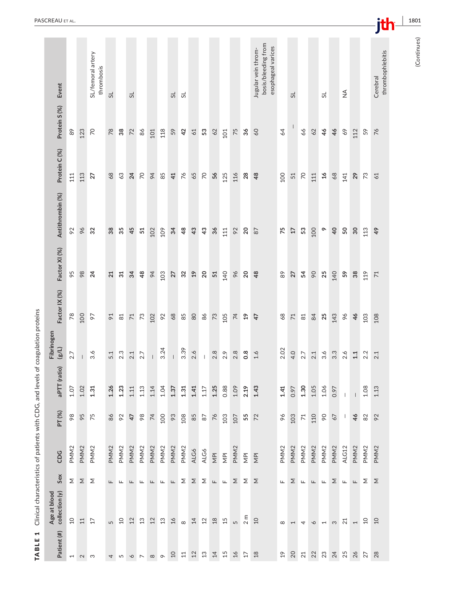|                                                                                   | PASCREAU ET AL.                |                          |                                       |                                 |                  |                  |                    |                  |                   |                                 |                    |                  |                |                |                          |                          |                  |                         |                                                                  |                  |                  |                   |                  |                  |                  |                 |                          |                  | jth                          | 1801        |
|-----------------------------------------------------------------------------------|--------------------------------|--------------------------|---------------------------------------|---------------------------------|------------------|------------------|--------------------|------------------|-------------------|---------------------------------|--------------------|------------------|----------------|----------------|--------------------------|--------------------------|------------------|-------------------------|------------------------------------------------------------------|------------------|------------------|-------------------|------------------|------------------|------------------|-----------------|--------------------------|------------------|------------------------------|-------------|
|                                                                                   |                                |                          |                                       |                                 |                  |                  |                    |                  |                   |                                 |                    |                  |                |                |                          |                          |                  |                         |                                                                  |                  |                  |                   |                  |                  |                  |                 |                          |                  |                              |             |
|                                                                                   | Event                          |                          |                                       | SL/femoral artery<br>thrombosis | 5 <sup>1</sup>   |                  | 5                  |                  |                   |                                 | 51                 | 5                |                |                |                          |                          |                  |                         | bosis/bleeding from<br>esophageal varices<br>Jugular vein throm- |                  | $\overline{S}$   |                   |                  | 5                |                  | ≨               |                          |                  | thrombophlebitis<br>Cerebral | (Continues) |
|                                                                                   | Protein S (%)                  | 89                       | 123                                   | $\overline{7}$                  | $78$             | $38\,$           | 72                 | 86               | 101               | 118                             | 59                 | 42               | $61$           | 53             | $62$                     | 101                      | 75               | 36                      | 60                                                               | 64               |                  | 66                | 62               | 46               | 46               | $69$            | 112                      | 59               | $\frac{6}{5}$                |             |
|                                                                                   | Protein C (%)                  | 111                      | 113                                   | 27                              | 68               | $63$             | $\overline{24}$    | $\gtrsim$        | $\overline{6}$    | 85                              | 41                 | $\frac{2}{5}$    | 65             | $\overline{2}$ | 56                       | 125                      | 116              | 28                      | 48                                                               | 100              | 51               | $\overline{70}$   | 111              | $\mathfrak{H}$   | $68$             | 141             | 29                       | $73\,$           | 61                           |             |
|                                                                                   | Antithrombin (%)               | 92                       | 96                                    | 32                              | 38               | 35               | 45                 | $51\,$           | 102               | 109                             | 34                 | $48$             | 43             | 43             | 36                       | 111                      | 92               | 20                      | $87$                                                             | 75               | $\overline{17}$  | $53\,$            | 100              | $\circ$          | $\overline{a}$   | 50              | 30                       | 113              | $\frac{1}{6}$                |             |
|                                                                                   | Factor XI (%)                  | 95                       | $98$                                  | $\overline{24}$                 | 21               | $\overline{31}$  | 34                 | 48               | $\overline{6}$    | 103                             | 27                 | 32               | $\mathfrak{a}$ | 20             | $51\,$                   | 140                      | $96$             | 20                      | 48                                                               | $89$             | 27               | 54                | $\infty$         | 25               | 140              | 59              | $38$                     | 119              | 71                           |             |
|                                                                                   | Factor IX (%)                  | 78                       | 100                                   | 66                              | $\mathfrak{p}$   | $\Xi$            | $71\,$             | $73$             | 102               | 92                              | 68                 | $85$             | $80$           | $86$           | $73$                     | 105                      | $\overline{7}$   | $\overline{19}$         | 47                                                               | $68$             | $71\,$           | $81$              | 84               | 25               | 143              | $\delta\phi$    | 46                       | 103              | 108                          |             |
|                                                                                   | Fibrinogen<br>(8/L)            | 2.7                      | $\begin{array}{c} \hline \end{array}$ | 3.6                             | 5.1              | 2.3              | $2.1\,$            | 2.7              | $\mathsf{I}$      | 3.24                            |                    | 3.39             | 2.6            | J.             | $2.8$                    | 2.9                      | 2.8              | $0.\overline{8}$        | 1.6                                                              | 2.02             | 4.0              | 2.7               | 2.1              | 3.6              | $3.\overline{3}$ | 2.6             | $1.1\,$                  | 2.2              | 2.1                          |             |
| Clinical characteristics of patients with CDG, and levels of coagulation proteins | aPTT (ratio)                   | 1.07                     | $1.02$                                | 1.31                            | 1.26             | 1.23             | 1.11               | $1.13$           | 1.14              | 1.04                            | 1.37               | $1.31$           | 1.41           | 1.17           | 1.25                     | 0.88                     | 1.09             | 2.19                    | 1.43                                                             | 1.41             | 0.97             | 1.30              | 1.05             | 1.06             | 0.97             | $\mathbf{I}$    | $\overline{\phantom{a}}$ | 1.08             | 1.13                         |             |
|                                                                                   | PT(%)                          | 98                       | 95                                    | 75                              | $86$             | 92               | 47                 | 98               | $74$              | 100                             | $66$               | 108              | $85$           | $87\,$         | $\frac{2}{\sqrt{6}}$     | 103                      | 107              | 55                      | 72                                                               | $\delta\phi$     | 103              | $\boldsymbol{71}$ | 110              | $\infty$         | 67               | $\perp$         | 46                       | 82               | 92                           |             |
|                                                                                   | CDG                            | PMM <sub>2</sub>         | PMM <sub>2</sub>                      | PMM <sub>2</sub>                | PMM <sub>2</sub> | PMM <sub>2</sub> | PMM <sub>2</sub>   | PMM <sub>2</sub> | PMM <sub>2</sub>  | PMM <sub>2</sub>                | PMM <sub>2</sub>   | PMM <sub>2</sub> | ALG6           | ALG6           | $\overline{\mathsf{NP}}$ | $\overline{\mathsf{NP}}$ | PMM <sub>2</sub> | $\overline{\mathsf{M}}$ | $\overline{\mathsf{NP}}$                                         | PMM <sub>2</sub> | PMM <sub>2</sub> | PMM <sub>2</sub>  | PMM <sub>2</sub> | PMM <sub>2</sub> | PMM <sub>2</sub> | ALG12           | PMM <sub>2</sub>         | PMM <sub>2</sub> | PMM <sub>2</sub>             |             |
|                                                                                   | Sex                            | Σ                        | $\boldsymbol{\Sigma}$                 | Σ                               | Щ                | Щ                | $\mathrel{\sqcup}$ | Щ                | $\sqcup$          | $\mathrel{\sqcup\!\!\!\!\perp}$ | $\mathrel{\sqcup}$ | Σ                | Σ              | Σ              | $\sqcup$                 | Щ.                       | Σ                | Σ                       | Σ                                                                | Щ.               | Σ                | Щ.                | Щ.               | Щ                | Σ                | Щ               | $\mathrel{\sqcup}$       | Σ                | Σ                            |             |
|                                                                                   | Age at blood<br>collection (y) | $\overline{c}$           | $11\,$                                | 17                              | 5                | $\overline{10}$  | 12                 | 13               | 12                | 13                              | 16                 | $\infty$         | 14             | 12             | $18$                     | 15                       | 5                | 2 m                     | $\overline{10}$                                                  | $\infty$         | $\overline{ }$   | $\overline{4}$    | $\circ$          | $\overline{a}$   | $\infty$         | $\overline{21}$ | $\overline{\phantom{0}}$ | $\overline{c}$   | $\overline{a}$               |             |
| 1<br><b>TABLE</b>                                                                 | Patient (#)                    | $\overline{\phantom{0}}$ | $\sim$ $\sim$                         |                                 |                  | 4 m n r          |                    |                  | $\infty$ $\infty$ |                                 | $\overline{c}$     | 11               | $12\,$         | $\mathfrak{L}$ | $14$                     | 15                       | $26$             | $17$                    | $18$                                                             | $^{9}$           | 20               | 21                | 22               | 23               | 24<br>25         |                 | 26                       | 27               | 28                           |             |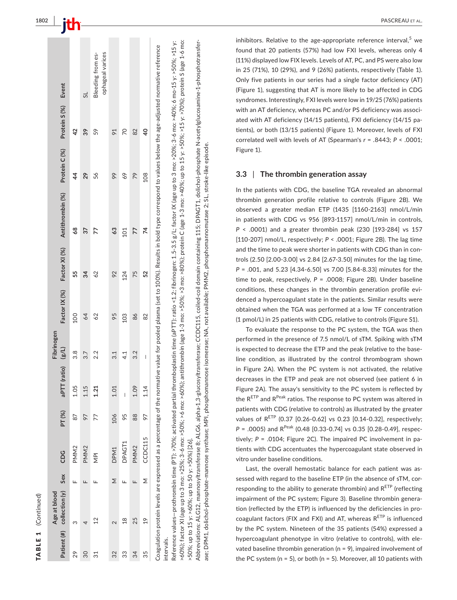|    | Patient (#) collection (y)<br>Age at blood | Sex | CDG              | PT (%) | PTT (ratio)<br>$\overline{5}$ | Fibrinogen<br>(1/3) | Factor IX (%) | Factor XI (%) | Antithrombin (%)                                                                                                                                                                                                               | Protein C (%) | Protein S (%) Event |                                       |
|----|--------------------------------------------|-----|------------------|--------|-------------------------------|---------------------|---------------|---------------|--------------------------------------------------------------------------------------------------------------------------------------------------------------------------------------------------------------------------------|---------------|---------------------|---------------------------------------|
| 29 | ო                                          |     | PMM <sub>2</sub> | 87     | 1.05                          | 3.8                 | <b>DOI</b>    | 55            | 89                                                                                                                                                                                                                             | $\frac{4}{4}$ | 42                  |                                       |
| 30 |                                            |     | PMM <sub>2</sub> | 97     | 1.15                          | 3.7                 | 64            | 34            | 37                                                                                                                                                                                                                             | 29            | 39                  | $\overline{5}$                        |
| ನ  | 12                                         | щ   | $\frac{p}{\geq}$ | 77     | 1.21                          | 2.2                 | 62            | 62            | 77                                                                                                                                                                                                                             | 56            | 59                  | Bleeding from es-<br>ophageal varices |
| 32 | $\overline{\mathcal{C}}$                   | Σ   | DPM <sub>1</sub> | 106    | 1.01                          | 3.1                 | 95            | 92            | 63                                                                                                                                                                                                                             | 99            | 91                  |                                       |
| 33 | $\frac{8}{18}$                             |     | DPAGT1           | 95     | I                             | 4.1                 | 103           | 124           | 101                                                                                                                                                                                                                            | 69            | 20                  |                                       |
| 34 | 25                                         |     | PMM <sub>2</sub> | 88     | 1.09                          | 3.2                 | 86            | 75            | 77                                                                                                                                                                                                                             | 79            | 82                  |                                       |
| 35 | $\frac{9}{2}$                              | Σ   | CCDC115          | 97     | 1.14                          | I                   | 82            | 52            | 4                                                                                                                                                                                                                              | 108           | $\frac{4}{3}$       |                                       |
|    |                                            |     |                  |        |                               |                     |               |               | carlistion workain lavale are averaged as a percent are of the normative worked value for nod discussed in the in hold time corrective research interestive references of the research interestive reference in the form of th |               |                     |                                       |

Coagulation protein levels are expressed as a percentage of the normative value for pooled plasma (set to 100%). Results in bold type correspond to values below the age‐adjusted normative reference i<br>A  $\frac{v}{v}$  $\overline{c}$ Coagulation protein levels are expressed as a percentage of the normative value for pooled plasma (set intervals. intervals. Reference values—prothrombin time (PT): >70%; activated partial thromboplastin time (aPTT): ratio <1.2; fibrinogen: 1.5-3.5 g/L; factor IX (age up to 3 mo: >20%; 3-6 mo: >40%; 6 mo-15 y: >50%; >15 y: >60%); factor XI (age up to 3 mo: >25%; 3‐6 mo: >50%; >6 mo: >60%); antithrombin (age 1‐3 mo: >50%; >3 mo: >80%); protein C (age 1‐3 mo: >40%; up to 15 y: >50%; >15 y: >70%); protein S (age 1‐6 mo: Reference values—prothrombin time (PT): >70%; activated partial thromboplastin time (aPTT): ratio <1.2; fibrinogen: 1.5‐3.5 g/L; factor IX (age up to 3 mo: >20%; 3‐6 mo: >40%; 6 mo‐15 y: >50%; >15 y: to 15 y: >50%; >15 y: >70%); protein S (age 1-6 mo: ~60%); factor XI (age up to 3 mo: >25%; 3-6 mo: >50%; >6 mo: >60%); antithrombin (age 1-3 mo: >50%; >3 mo: >80%); protein C (age 1-3 mo: >40%; up >50%; up to 15 y: >60%; up to 50 y: >50%) [26]. >50%; up to 15 y: >60%; up to 50 y: >50%) [26].

Abbreviations: ALG12, mannosyltransferase 8; ALG6, alpha-1,3-glucosyltransferase; CCDC115, coiled-coil domain containing 115; DPAGT1, dolichol-phosphate N-acetylglucosamine-1-phosphotransfer-Abbreviations: ALG12, mannosyltransferase 8; ALG6, alpha-1,3‐glucosyltransferase; CCDC115, coiled‐coil domain containing 115; DPAGT1, dolichol‐phosphate N‐acetylglucosamine‐1‐phosphotransfer‐ sse; DPM1, dolichol-phosphate-mannose synthase; MPI, phosphomannose isomerase; NA, not available; PMM2, phosphomannomutase 2; SL, stroke-like episode. ase; DPM1, dolichol‐phosphate‐mannose synthase; MPI, phosphomannose isomerase; NA, not available; PMM2, phosphomannomutase 2; SL, stroke‐like episode.

inhibitors. Relative to the age-appropriate reference interval,<sup>5</sup> we found that 20 patients (57%) had low FXI levels, whereas only 4 (11%) displayed low FIX levels. Levels of AT, PC, and PS were also low in 25 (71%), 10 (29%), and 9 (26%) patients, respectively (Table 1). Only five patients in our series had a single factor deficiency (AT) (Figure 1), suggesting that AT is more likely to be affected in CDG syndromes. Interestingly, FXI levels were low in 19/25 (76%) patients with an AT deficiency, whereas PC and/or PS deficiency was associ ‐ ated with AT deficiency (14/15 patients), FXI deficiency (14/15 pa ‐ tients), or both (13/15 patients) (Figure 1). Moreover, levels of FXI correlated well with levels of AT (Spearman's *r* = .8443; *P* < .0001; Figure 1).

#### **3.3**  | **The thrombin generation assay**

In the patients with CDG, the baseline TGA revealed an abnormal thrombin generation profile relative to controls (Figure 2B). We observed a greater median ETP (1435 [1160‐2163] nmol/L/min in patients with CDG vs 956 [893‐1157] nmol/L/min in controls, *P* < .0001) and a greater thrombin peak (230 [193‐284] vs 157 [110‐207] nmol/L, respectively; *P* < .0001; Figure 2B). The lag time and the time to peak were shorter in patients with CDG than in con ‐ trols (2.50 [2.00‐3.00] vs 2.84 [2.67‐3.50] minutes for the lag time, *P* = .001, and 5.23 [4.34‐6.50] vs 7.00 [5.84‐8.33] minutes for the time to peak, respectively, *P* = .0008; Figure 2B). Under baseline conditions, these changes in the thrombin generation profile evi ‐ denced a hypercoagulant state in the patients. Similar results were obtained when the TGA was performed at a low TF concentration (1 pmol/L) in 25 patients with CDG, relative to controls (Figure S1).

To evaluate the response to the PC system, the TGA was then performed in the presence of 7.5 nmol/L of sTM. Spiking with sTM is expected to decrease the ETP and the peak (relative to the base ‐ line condition, as illustrated by the control thrombogram shown in Figure 2A). When the PC system is not activated, the relative decreases in the ETP and peak are not observed (see patient 6 in Figure 2A). The assay's sensitivity to the PC system is reflected by the RETP and R<sup>Peak</sup> ratios. The response to PC system was altered in patients with CDG (relative to controls) as illustrated by the greater values of  $R^{ETP}$  (0.37 [0.26-0.62] vs 0.23 [0.14-0.32], respectively;  $P = .0005$ ) and R<sup>Peak</sup> (0.48 [0.33-0.74] vs 0.35 [0.28-0.49], respectively; P = .0104; Figure 2C). The impaired PC involvement in patients with CDG accentuates the hypercoagulant state observed in vitro under baseline conditions.

Last, the overall hemostatic balance for each patient was as ‐ sessed with regard to the baseline ETP (in the absence of sTM, cor ‐ responding to the ability to generate thrombin) and  $R^{ETP}$  (reflecting impairment of the PC system; Figure 3). Baseline thrombin genera ‐ tion (reflected by the ETP) is influenced by the deficiencies in pro ‐ coagulant factors (FIX and FXI) and AT, whereas  $R^{\text{ETP}}$  is influenced by the PC system. Nineteen of the 35 patients (54%) expressed a hypercoagulant phenotype in vitro (relative to controls), with ele ‐ vated baseline thrombin generation (n = 9), impaired involvement of the PC system (n = 5), or both (n = 5). Moreover, all 10 patients with

TABLE 1

TABLE 1 (Continued)

(Continued)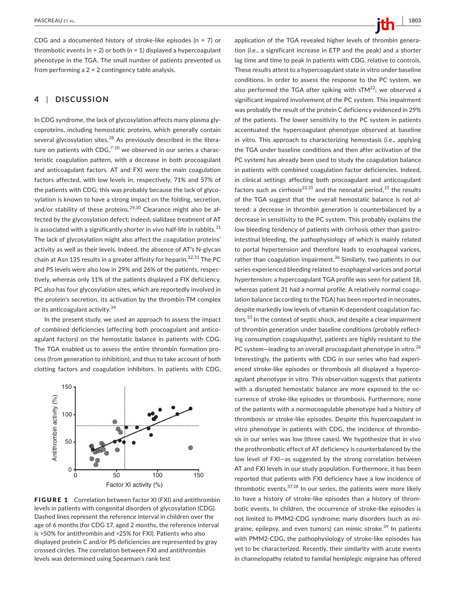CDG and a documented history of stroke‐like episodes (n = 7) or thrombotic events ( $n = 2$ ) or both ( $n = 1$ ) displayed a hypercoagulant phenotype in the TGA. The small number of patients prevented us from performing a  $2 \times 2$  contingency table analysis.

# **4** | **DISCUSSION**

In CDG syndrome, the lack of glycosylation affects many plasma gly‐ coproteins, including hemostatic proteins, which generally contain several glycosylation sites. $^{28}$  As previously described in the literature on patients with CDG, $7-10$  we observed in our series a characteristic coagulation pattern, with a decrease in both procoagulant and anticoagulant factors. AT and FXI were the main coagulation factors affected, with low levels in, respectively, 71% and 57% of the patients with CDG; this was probably because the lack of glycosylation is known to have a strong impact on the folding, secretion, and/or stability of these proteins.<sup>29,30</sup> Clearance might also be affected by the glycosylation defect; indeed, sialidase treatment of AT is associated with a significantly shorter in vivo half-life in rabbits. $31$ The lack of glycosylation might also affect the coagulation proteins' activity as well as their levels. Indeed, the absence of AT's N‐glycan chain at Asn 135 results in a greater affinity for heparin.<sup>32,33</sup> The PC and PS levels were also low in 29% and 26% of the patients, respec‐ tively, whereas only 11% of the patients displayed a FIX deficiency. PC also has four glycosylation sites, which are reportedly involved in the protein's secretion, its activation by the thrombin‐TM complex or its anticoagulant activity.<sup>34</sup>

In the present study, we used an approach to assess the impact of combined deficiencies (affecting both procoagulant and antico‐ agulant factors) on the hemostatic balance in patients with CDG. The TGA enabled us to assess the entire thrombin formation pro‐ cess (from generation to inhibition), and thus to take account of both clotting factors and coagulation inhibitors. In patients with CDG,



FIGURE 1 Correlation between factor XI (FXI) and antithrombin levels in patients with congenital disorders of glycosylation (CDG). Dashed lines represent the reference interval in children over the age of 6 months (for CDG 17, aged 2 months, the reference interval is >50% for antithrombin and >25% for FXI). Patients who also displayed protein C and/or PS deficiencies are represented by gray crossed circles. The correlation between FXI and antithrombin levels was determined using Spearman's rank test

tion (i.e., a significant increase in ETP and the peak) and a shorter lag time and time to peak in patients with CDG, relative to controls. These results attest to a hypercoagulant state in vitro under baseline conditions. In order to assess the response to the PC system, we also performed the TGA after spiking with  $sT M^{22}$ ; we observed a significant impaired involvement of the PC system. This impairment was probably the result of the protein C deficiency evidenced in 29% of the patients. The lower sensitivity to the PC system in patients accentuated the hypercoagulant phenotype observed at baseline in vitro. This approach to characterizing hemostasis (i.e., applying the TGA under baseline conditions and then after activation of the PC system) has already been used to study the coagulation balance in patients with combined coagulation factor deficiencies. Indeed, in clinical settings affecting both procoagulant and anticoagulant factors such as cirrhosis<sup>23,35</sup> and the neonatal period,<sup>25</sup> the results of the TGA suggest that the overall hemostatic balance is not al‐ tered: a decrease in thrombin generation is counterbalanced by a decrease in sensitivity to the PC system. This probably explains the low bleeding tendency of patients with cirrhosis other than gastrointestinal bleeding, the pathophysiology of which is mainly related to portal hypertension and therefore leads to esophageal varices, rather than coagulation impairment.<sup>36</sup> Similarly, two patients in our series experienced bleeding related to esophageal varices and portal hypertension: a hypercoagulant TGA profile was seen for patient 18, whereas patient 31 had a normal profile. A relatively normal coagulation balance (according to the TGA) has been reported in neonates, despite markedly low levels of vitamin K‐dependent coagulation fac‐ tors.<sup>25</sup> In the context of septic shock, and despite a clear impairment of thrombin generation under baseline conditions (probably reflecting consumption coagulopathy), patients are highly resistant to the PC system-leading to an overall procoagulant phenotype in vitro.<sup>26</sup> Interestingly, the patients with CDG in our series who had experi‐ enced stroke-like episodes or thrombosis all displayed a hypercoagulant phenotype in vitro. This observation suggests that patients with a disrupted hemostatic balance are more exposed to the occurrence of stroke‐like episodes or thrombosis. Furthermore, none of the patients with a normocoagulable phenotype had a history of thrombosis or stroke‐like episodes. Despite this hypercoagulant in vitro phenotype in patients with CDG, the incidence of thrombosis in our series was low (three cases). We hypothesize that in vivo the prothrombotic effect of AT deficiency is counterbalanced by the low level of FXI—as suggested by the strong correlation between AT and FXI levels in our study population. Furthermore, it has been reported that patients with FXI deficiency have a low incidence of thrombotic events.37,38 In our series, the patients were more likely to have a history of stroke‐like episodes than a history of throm‐ botic events. In children, the occurrence of stroke‐like episodes is not limited to PMM2‐CDG syndrome; many disorders (such as mi‐ graine, epilepsy, and even tumors) can mimic stroke.<sup>39</sup> In patients with PMM2‐CDG, the pathophysiology of stroke‐like episodes has yet to be characterized. Recently, their similarity with acute events in channelopathy related to familial hemiplegic migraine has offered

application of the TGA revealed higher levels of thrombin genera-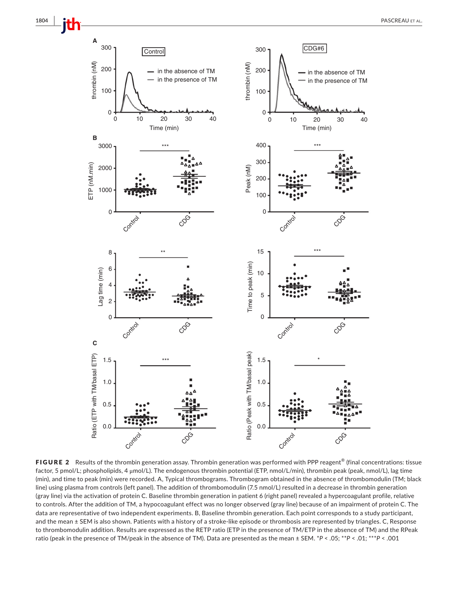

FIGURE 2 Results of the thrombin generation assay. Thrombin generation was performed with PPP reagent<sup>®</sup> (final concentrations: tissue factor, 5 pmol/L; phospholipids, 4 μmol/L). The endogenous thrombin potential (ETP, nmol/L/min), thrombin peak (peak, nmol/L), lag time (min), and time to peak (min) were recorded. A, Typical thrombograms. Thrombogram obtained in the absence of thrombomodulin (TM; black line) using plasma from controls (left panel). The addition of thrombomodulin (7.5 nmol/L) resulted in a decrease in thrombin generation (gray line) via the activation of protein C. Baseline thrombin generation in patient 6 (right panel) revealed a hypercoagulant profile, relative to controls. After the addition of TM, a hypocoagulant effect was no longer observed (gray line) because of an impairment of protein C. The data are representative of two independent experiments. B, Baseline thrombin generation. Each point corresponds to a study participant, and the mean ± SEM is also shown. Patients with a history of a stroke-like episode or thrombosis are represented by triangles. C, Response to thrombomodulin addition. Results are expressed as the RETP ratio (ETP in the presence of TM/ETP in the absence of TM) and the RPeak ratio (peak in the presence of TM/peak in the absence of TM). Data are presented as the mean ± SEM. \**P* < .05; \*\**P* < .01; \*\*\**P* < .001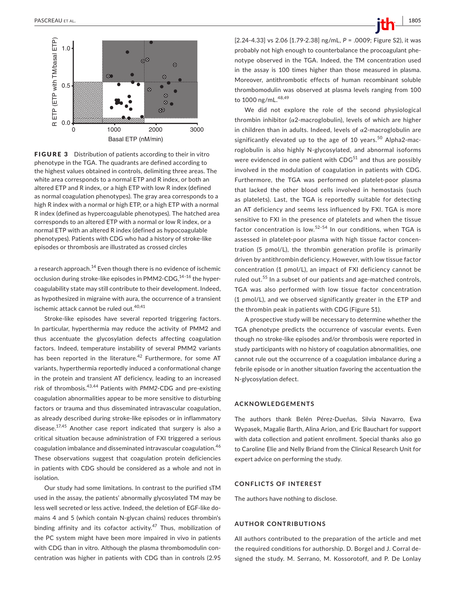

FIGURE 3 Distribution of patients according to their in vitro phenotype in the TGA. The quadrants are defined according to the highest values obtained in controls, delimiting three areas. The white area corresponds to a normal ETP and R index, or both an altered ETP and R index, or a high ETP with low R index (defined as normal coagulation phenotypes). The gray area corresponds to a high R index with a normal or high ETP, or a high ETP with a normal R index (defined as hypercoagulable phenotypes). The hatched area corresponds to an altered ETP with a normal or low R index, or a normal ETP with an altered R index (defined as hypocoagulable phenotypes). Patients with CDG who had a history of stroke‐like episodes or thrombosis are illustrated as crossed circles

a research approach.<sup>14</sup> Even though there is no evidence of ischemic occlusion during stroke-like episodes in PMM2-CDG, $^{14-16}$  the hypercoagulability state may still contribute to their development. Indeed, as hypothesized in migraine with aura, the occurrence of a transient ischemic attack cannot be ruled out.<sup>40,41</sup>

Stroke-like episodes have several reported triggering factors. In particular, hyperthermia may reduce the activity of PMM2 and thus accentuate the glycosylation defects affecting coagulation factors. Indeed, temperature instability of several PMM2 variants has been reported in the literature.<sup>42</sup> Furthermore, for some AT variants, hyperthermia reportedly induced a conformational change in the protein and transient AT deficiency, leading to an increased risk of thrombosis.43,44 Patients with *PMM2*‐CDG and pre‐existing coagulation abnormalities appear to be more sensitive to disturbing factors or trauma and thus disseminated intravascular coagulation, as already described during stroke‐like episodes or in inflammatory disease.<sup>17,45</sup> Another case report indicated that surgery is also a critical situation because administration of FXI triggered a serious coagulation imbalance and disseminated intravascular coagulation.<sup>46</sup> These observations suggest that coagulation protein deficiencies in patients with CDG should be considered as a whole and not in isolation.

Our study had some limitations. In contrast to the purified sTM used in the assay, the patients' abnormally glycosylated TM may be less well secreted or less active. Indeed, the deletion of EGF‐like do‐ mains 4 and 5 (which contain N‐glycan chains) reduces thrombin's binding affinity and its cofactor activity. $47$  Thus, mobilization of the PC system might have been more impaired in vivo in patients with CDG than in vitro. Although the plasma thrombomodulin concentration was higher in patients with CDG than in controls (2.95 [2.24‐4.33] vs 2.06 [1.79‐2.38] ng/mL, *P* = .0009; Figure S2), it was probably not high enough to counterbalance the procoagulant phe‐ notype observed in the TGA. Indeed, the TM concentration used in the assay is 100 times higher than those measured in plasma. Moreover, antithrombotic effects of human recombinant soluble thrombomodulin was observed at plasma levels ranging from 100 to 1000 ng/mL.<sup>48,49</sup>

We did not explore the role of the second physiological thrombin inhibitor ( $α2$ -macroglobulin), levels of which are higher in children than in adults. Indeed, levels of  $\alpha$ 2-macroglobulin are significantly elevated up to the age of 10 years.<sup>50</sup> Alpha2-macroglobulin is also highly N‐glycosylated, and abnormal isoforms were evidenced in one patient with  $CDG<sup>51</sup>$  and thus are possibly involved in the modulation of coagulation in patients with CDG. Furthermore, the TGA was performed on platelet‐poor plasma that lacked the other blood cells involved in hemostasis (such as platelets). Last, the TGA is reportedly suitable for detecting an AT deficiency and seems less influenced by FXI. TGA is more sensitive to FXI in the presence of platelets and when the tissue factor concentration is low. $52-54$  In our conditions, when TGA is assessed in platelet-poor plasma with high tissue factor concentration (5 pmol/L), the thrombin generation profile is primarily driven by antithrombin deficiency. However, with low tissue factor concentration (1 pmol/L), an impact of FXI deficiency cannot be ruled out.<sup>55</sup> In a subset of our patients and age-matched controls, TGA was also performed with low tissue factor concentration (1 pmol/L), and we observed significantly greater in the ETP and the thrombin peak in patients with CDG (Figure S1).

A prospective study will be necessary to determine whether the TGA phenotype predicts the occurrence of vascular events. Even though no stroke‐like episodes and/or thrombosis were reported in study participants with no history of coagulation abnormalities, one cannot rule out the occurrence of a coagulation imbalance during a febrile episode or in another situation favoring the accentuation the N‐glycosylation defect.

#### **ACKNOWLEDGEMENTS**

The authors thank Belén Pérez‐Dueñas, Silvia Navarro, Ewa Wypasek, Magalie Barth, Alina Arion, and Eric Bauchart for support with data collection and patient enrollment. Special thanks also go to Caroline Elie and Nelly Briand from the Clinical Research Unit for expert advice on performing the study.

### **CONFLICTS OF INTEREST**

The authors have nothing to disclose.

# **AUTHOR CONTRIBUTIONS**

All authors contributed to the preparation of the article and met the required conditions for authorship. D. Borgel and J. Corral de‐ signed the study. M. Serrano, M. Kossorotoff, and P. De Lonlay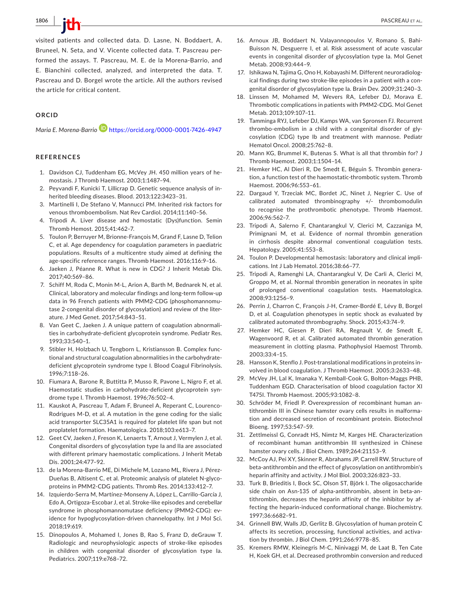visited patients and collected data. D. Lasne, N. Boddaert, A. Bruneel, N. Seta, and V. Vicente collected data. T. Pascreau per‐ formed the assays. T. Pascreau, M. E. de la Morena‐Barrio, and E. Bianchini collected, analyzed, and interpreted the data. T. Pascreau and D. Borgel wrote the article. All the authors revised the article for critical content.

# **ORCID**

*Maria E. Morena‐Barrio* <https://orcid.org/0000-0001-7426-4947>

# **REFERENCES**

- 1. Davidson CJ, Tuddenham EG, McVey JH. 450 million years of he‐ mostasis. J Thromb Haemost. 2003;1:1487–94.
- 2. Peyvandi F, Kunicki T, Lillicrap D. Genetic sequence analysis of in‐ herited bleeding diseases. Blood. 2013;122:3423–31.
- 3. Martinelli I, De Stefano V, Mannucci PM. Inherited risk factors for venous thromboembolism. Nat Rev Cardiol. 2014;11:140–56.
- 4. Tripodi A. Liver disease and hemostatic (Dys)function. Semin Thromb Hemost. 2015;41:462–7.
- 5. Toulon P, Berruyer M, Brionne‐François M, Grand F, Lasne D, Telion C, et al. Age dependency for coagulation parameters in paediatric populations. Results of a multicentre study aimed at defining the age‐specific reference ranges. Thromb Haemost. 2016;116:9–16.
- 6. Jaeken J, Péanne R. What is new in CDG? J Inherit Metab Dis. 2017;40:569–86.
- 7. Schiff M, Roda C, Monin M‐L, Arion A, Barth M, Bednarek N, et al. Clinical, laboratory and molecular findings and long‐term follow‐up data in 96 French patients with PMM2‐CDG (phosphomannomu‐ tase 2‐congenital disorder of glycosylation) and review of the liter‐ ature. J Med Genet. 2017;54:843–51.
- 8. Van Geet C, Jaeken J. A unique pattern of coagulation abnormali‐ ties in carbohydrate‐deficient glycoprotein syndrome. Pediatr Res. 1993;33:540–1.
- 9. Stibler H, Holzbach U, Tengborn L, Kristiansson B. Complex func‐ tional and structural coagulation abnormalities in the carbohydrate‐ deficient glycoprotein syndrome type I. Blood Coagul Fibrinolysis. 1996;7:118–26.
- 10. Fiumara A, Barone R, Buttitta P, Musso R, Pavone L, Nigro F, et al. Haemostatic studies in carbohydrate-deficient glycoprotein syndrome type I. Thromb Haemost. 1996;76:502–4.
- 11. Kauskot A, Pascreau T, Adam F, Bruneel A, Reperant C, Lourenco‐ Rodrigues M‐D, et al. A mutation in the gene coding for the sialic acid transporter SLC35A1 is required for platelet life span but not proplatelet formation. Haematologica. 2018;103:e613–7.
- 12. Geet CV, Jaeken J, Freson K, Lenaerts T, Arnout J, Vermylen J, et al. Congenital disorders of glycosylation type Ia and IIa are associated with different primary haemostatic complications. J Inherit Metab Dis. 2001;24:477–92.
- 13. de la Morena-Barrio ME, Di Michele M, Lozano ML, Rivera J, Pérez-Dueñas B, Altisent C, et al. Proteomic analysis of platelet N‐glyco‐ proteins in PMM2‐CDG patients. Thromb Res. 2014;133:412–7.
- 14. Izquierdo‐Serra M, Martínez‐Monseny A, López L, Carrillo‐García J, Edo A, Ortigoza‐Escobar J, et al. Stroke‐like episodes and cerebellar syndrome in phosphomannomutase deficiency (PMM2‐CDG): ev‐ idence for hypoglycosylation‐driven channelopathy. Int J Mol Sci. 2018;19:619.
- 15. Dinopoulos A, Mohamed I, Jones B, Rao S, Franz D, deGrauw T. Radiologic and neurophysiologic aspects of stroke‐like episodes in children with congenital disorder of glycosylation type Ia. Pediatrics. 2007;119:e768–72.
- 16. Arnoux JB, Boddaert N, Valayannopoulos V, Romano S, Bahi‐ Buisson N, Desguerre I, et al. Risk assessment of acute vascular events in congenital disorder of glycosylation type Ia. Mol Genet Metab. 2008;93:444–9.
- 17. Ishikawa N, Tajima G, Ono H, Kobayashi M. Different neuroradiological findings during two stroke‐like episodes in a patient with a con‐ genital disorder of glycosylation type Ia. Brain Dev. 2009;31:240–3.
- 18. Linssen M, Mohamed M, Wevers RA, Lefeber DJ, Morava E. Thrombotic complications in patients with PMM2‐CDG. Mol Genet Metab. 2013;109:107–11.
- 19. Tamminga RYJ, Lefeber DJ, Kamps WA, van Spronsen FJ. Recurrent thrombo‐embolism in a child with a congenital disorder of gly‐ cosylation (CDG) type Ib and treatment with mannose. Pediatr Hematol Oncol. 2008;25:762–8.
- 20. Mann KG, Brummel K, Butenas S. What is all that thrombin for? J Thromb Haemost. 2003;1:1504–14.
- 21. Hemker HC, Al Dieri R, De Smedt E, Béguin S. Thrombin genera‐ tion, a function test of the haemostatic‐thrombotic system. Thromb Haemost. 2006;96:553–61.
- 22. Dargaud Y, Trzeciak MC, Bordet JC, Ninet J, Negrier C. Use of calibrated automated thrombinography +/‐ thrombomodulin to recognise the prothrombotic phenotype. Thromb Haemost. 2006;96:562–7.
- 23. Tripodi A, Salerno F, Chantarangkul V, Clerici M, Cazzaniga M, Primignani M, et al. Evidence of normal thrombin generation in cirrhosis despite abnormal conventional coagulation tests. Hepatology. 2005;41:553–8.
- 24. Toulon P. Developmental hemostasis: laboratory and clinical impli‐ cations. Int J Lab Hematol. 2016;38:66–77.
- 25. Tripodi A, Ramenghi LA, Chantarangkul V, De Carli A, Clerici M, Groppo M, et al. Normal thrombin generation in neonates in spite of prolonged conventional coagulation tests. Haematologica. 2008;93:1256–9.
- 26. Perrin J, Charron C, François J‐H, Cramer‐Bordé E, Lévy B, Borgel D, et al. Coagulation phenotypes in septic shock as evaluated by calibrated automated thrombography. Shock. 2015;43:74–9.
- 27. Hemker HC, Giesen P, Dieri RA, Regnault V, de Smedt E, Wagenvoord R, et al. Calibrated automated thrombin generation measurement in clotting plasma. Pathophysiol Haemost Thromb. 2003;33:4–15.
- 28. Hansson K, Stenflo J. Post-translational modifications in proteins involved in blood coagulation. J Thromb Haemost. 2005;3:2633–48.
- 29. McVey JH, Lal K, Imanaka Y, Kemball‐Cook G, Bolton‐Maggs PHB, Tuddenham EGD. Characterisation of blood coagulation factor XI T475I. Thromb Haemost. 2005;93:1082–8.
- 30. Schröder M, Friedl P. Overexpression of recombinant human an‐ tithrombin III in Chinese hamster ovary cells results in malforma‐ tion and decreased secretion of recombinant protein. Biotechnol Bioeng. 1997;53:547–59.
- 31. Zettlmeissl G, Conradt HS, Nimtz M, Karges HE. Characterization of recombinant human antithrombin III synthesized in Chinese hamster ovary cells. J Biol Chem. 1989;264:21153–9.
- 32. McCoy AJ, Pei XY, Skinner R, Abrahams JP, Carrell RW. Structure of beta‐antithrombin and the effect of glycosylation on antithrombin's heparin affinity and activity. J Mol Biol. 2003;326:823–33.
- 33. Turk B, Brieditis I, Bock SC, Olson ST, Björk I. The oligosaccharide side chain on Asn-135 of alpha-antithrombin, absent in beta-antithrombin, decreases the heparin affinity of the inhibitor by af‐ fecting the heparin‐induced conformational change. Biochemistry. 1997;36:6682–91.
- 34. Grinnell BW, Walls JD, Gerlitz B. Glycosylation of human protein C affects its secretion, processing, functional activities, and activa‐ tion by thrombin. J Biol Chem. 1991;266:9778–85.
- 35. Kremers RMW, Kleinegris M‐C, Ninivaggi M, de Laat B, Ten Cate H, Koek GH, et al. Decreased prothrombin conversion and reduced